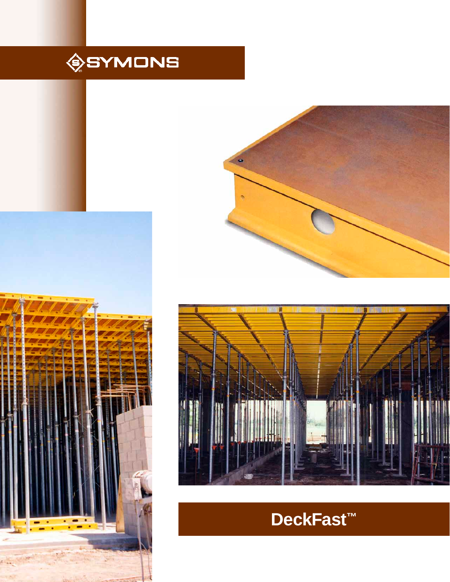







# **DeckFast™**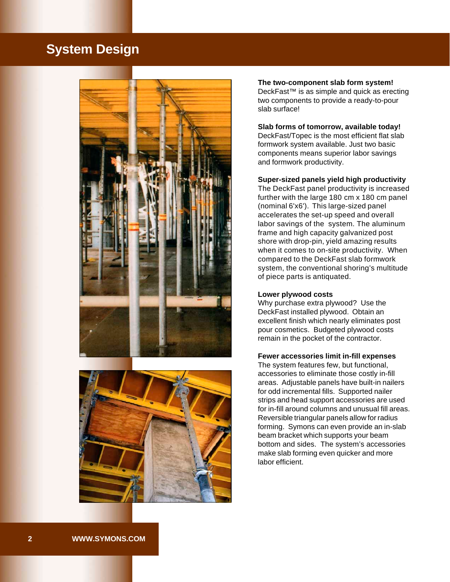### **System Design**





**The two-component slab form system!** DeckFast™ is as simple and quick as erecting two components to provide a ready-to-pour slab surface!

#### **Slab forms of tomorrow, available today!**

DeckFast/Topec is the most efficient flat slab formwork system available. Just two basic components means superior labor savings and formwork productivity.

#### **Super-sized panels yield high productivity**

The DeckFast panel productivity is increased further with the large 180 cm x 180 cm panel (nominal 6'x6'). This large-sized panel accelerates the set-up speed and overall labor savings of the system. The aluminum frame and high capacity galvanized post shore with drop-pin, yield amazing results when it comes to on-site productivity. When compared to the DeckFast slab formwork system, the conventional shoring's multitude of piece parts is antiquated.

#### **Lower plywood costs**

Why purchase extra plywood? Use the DeckFast installed plywood. Obtain an excellent finish which nearly eliminates post pour cosmetics. Budgeted plywood costs remain in the pocket of the contractor.

#### **Fewer accessories limit in-fill expenses**

The system features few, but functional, accessories to eliminate those costly in-fill areas. Adjustable panels have built-in nailers for odd incremental fills. Supported nailer strips and head support accessories are used for in-fill around columns and unusual fill areas. Reversible triangular panels allow for radius forming. Symons can even provide an in-slab beam bracket which supports your beam bottom and sides. The system's accessories make slab forming even quicker and more labor efficient.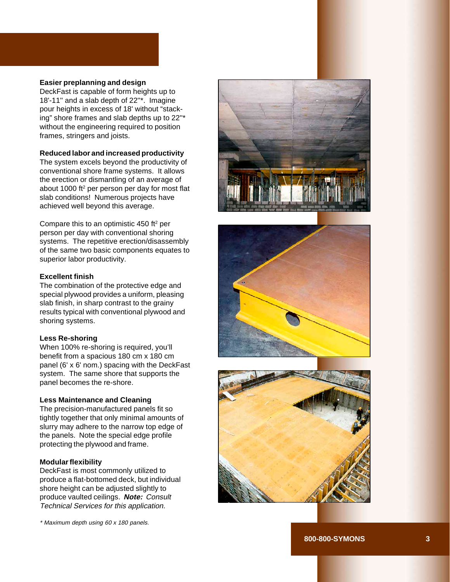#### **Easier preplanning and design**

DeckFast is capable of form heights up to 18'-11'' and a slab depth of 22''\*. Imagine pour heights in excess of 18' without "stacking" shore frames and slab depths up to 22''\* without the engineering required to position frames, stringers and joists.

#### **Reduced labor and increased productivity**

The system excels beyond the productivity of conventional shore frame systems. It allows the erection or dismantling of an average of about 1000 ft 2 per person per day for most flat slab conditions! Numerous projects have achieved well beyond this average.

Compare this to an optimistic 450 ft 2 per person per day with conventional shoring systems. The repetitive erection/disassembly of the same two basic components equates to superior labor productivity.

#### **Excellent finish**

The combination of the protective edge and special plywood provides a uniform, pleasing slab finish, in sharp contrast to the grainy results typical with conventional plywood and shoring systems.

#### **Less Re-shoring**

When 100% re-shoring is required, you'll benefit from a spacious 180 cm x 180 cm panel (6' x 6' nom.) spacing with the DeckFast system. The same shore that supports the panel becomes the re-shore.

#### **Less Maintenance and Cleaning**

The precision-manufactured panels fit so tightly together that only minimal amounts of slurry may adhere to the narrow top edge of the panels. Note the special edge profile protecting the plywood and frame.

#### **Modular flexibility**

DeckFast is most commonly utilized to produce a flat-bottomed deck, but individual shore height can be adjusted slightly to produce vaulted ceilings. **Note:** Consult Technical Services for this application.

\* Maximum depth using 60 x 180 panels.





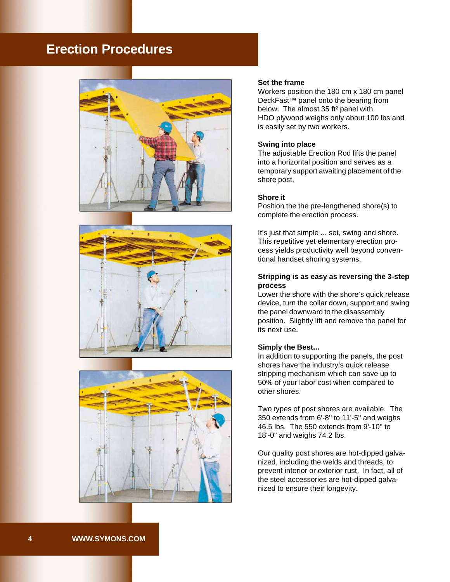### **Erection Procedures**







#### **Set the frame**

Workers position the 180 cm x 180 cm panel DeckFast™ panel onto the bearing from below. The almost 35 ft<sup>2</sup> panel with HDO plywood weighs only about 100 lbs and is easily set by two workers.

#### **Swing into place**

The adjustable Erection Rod lifts the panel into a horizontal position and serves as a temporary support awaiting placement of the shore post.

#### **Shore it**

Position the the pre-lengthened shore(s) to complete the erection process.

It's just that simple ... set, swing and shore. This repetitive yet elementary erection process yields productivity well beyond conventional handset shoring systems.

#### **Stripping is as easy as reversing the 3-step process**

Lower the shore with the shore's quick release device, turn the collar down, support and swing the panel downward to the disassembly position. Slightly lift and remove the panel for its next use.

#### **Simply the Best...**

In addition to supporting the panels, the post shores have the industry's quick release stripping mechanism which can save up to 50% of your labor cost when compared to other shores.

Two types of post shores are available. The 350 extends from 6'-8'' to 11'-5'' and weighs 46.5 lbs. The 550 extends from 9'-10'' to 18'-0'' and weighs 74.2 lbs.

Our quality post shores are hot-dipped galvanized, including the welds and threads, to prevent interior or exterior rust. In fact, all of the steel accessories are hot-dipped galvanized to ensure their longevity.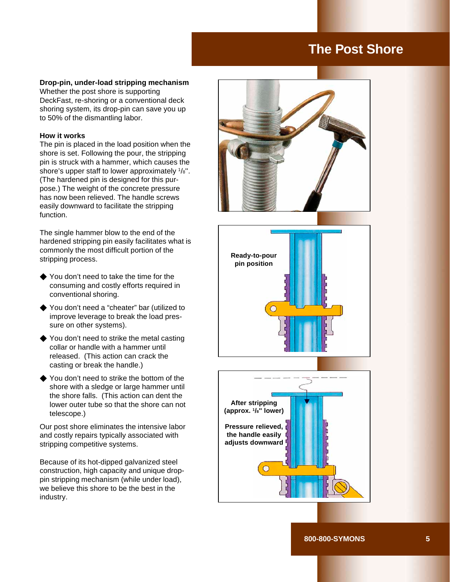### **The Post Shore**

#### **Drop-pin, under-load stripping mechanism**

Whether the post shore is supporting DeckFast, re-shoring or a conventional deck shoring system, its drop-pin can save you up to 50% of the dismantling labor.

#### **How it works**

The pin is placed in the load position when the shore is set. Following the pour, the stripping pin is struck with a hammer, which causes the shore's upper staff to lower approximately 1/8''. (The hardened pin is designed for this purpose.) The weight of the concrete pressure has now been relieved. The handle screws easily downward to facilitate the stripping function.

The single hammer blow to the end of the hardened stripping pin easily facilitates what is commonly the most difficult portion of the stripping process.

- $\blacklozenge$  You don't need to take the time for the consuming and costly efforts required in conventional shoring.
- ◆ You don't need a "cheater" bar (utilized to improve leverage to break the load pressure on other systems).
- $\blacklozenge$  You don't need to strike the metal casting collar or handle with a hammer until released. (This action can crack the casting or break the handle.)
- ! You don't need to strike the bottom of the shore with a sledge or large hammer until the shore falls. (This action can dent the lower outer tube so that the shore can not telescope.)

Our post shore eliminates the intensive labor and costly repairs typically associated with stripping competitive systems.

Because of its hot-dipped galvanized steel construction, high capacity and unique droppin stripping mechanism (while under load), we believe this shore to be the best in the industry.





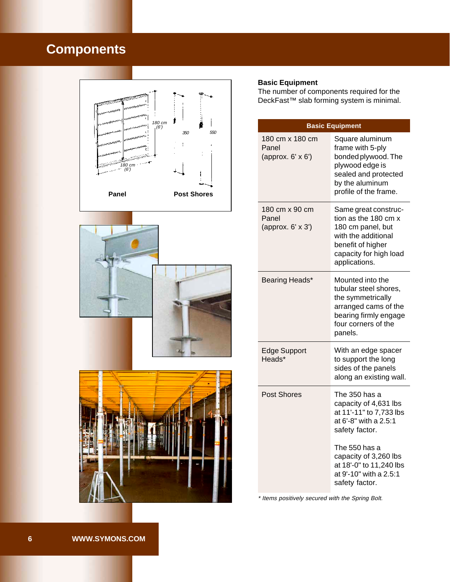# **Components**







#### **Basic Equipment**

The number of components required for the DeckFast™ slab forming system is minimal.

| <b>Basic Equipment</b>                        |                                                                                                                                                          |  |
|-----------------------------------------------|----------------------------------------------------------------------------------------------------------------------------------------------------------|--|
| 180 cm x 180 cm<br>Panel<br>(approx. 6' x 6') | Square aluminum<br>frame with 5-ply<br>bonded plywood. The<br>plywood edge is<br>sealed and protected<br>by the aluminum<br>profile of the frame.        |  |
| 180 cm x 90 cm<br>Panel<br>(approx. 6' x 3')  | Same great construc-<br>tion as the 180 cm x<br>180 cm panel, but<br>with the additional<br>benefit of higher<br>capacity for high load<br>applications. |  |
| Bearing Heads*                                | Mounted into the<br>tubular steel shores,<br>the symmetrically<br>arranged cams of the<br>bearing firmly engage<br>four corners of the<br>panels.        |  |
| <b>Edge Support</b><br>Heads*                 | With an edge spacer<br>to support the long<br>sides of the panels<br>along an existing wall.                                                             |  |
| <b>Post Shores</b>                            | The 350 has a<br>capacity of 4,631 lbs<br>at 11'-11" to 7,733 lbs<br>at 6'-8" with a 2.5:1<br>safety factor.                                             |  |
|                                               | The 550 has a<br>capacity of 3,260 lbs<br>at 18'-0" to 11,240 lbs<br>at 9'-10" with a 2.5:1<br>safety factor.                                            |  |

\* Items positively secured with the Spring Bolt.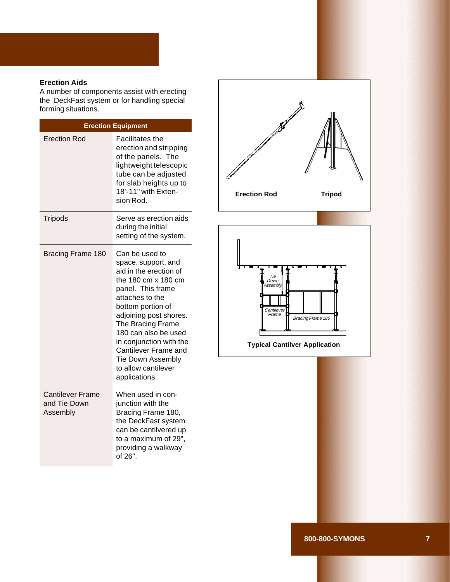#### **Erection Aids**

A number of components assist with erecting the DeckFast system or for handling special forming situations.

| <b>Erection Equipment</b>                           |                                                                                                                                                                                                                                                                                                                                                   |  |  |
|-----------------------------------------------------|---------------------------------------------------------------------------------------------------------------------------------------------------------------------------------------------------------------------------------------------------------------------------------------------------------------------------------------------------|--|--|
| Erection Rod                                        | <b>Facilitates the</b><br>erection and stripping<br>of the panels. The<br>lightweight telescopic<br>tube can be adjusted<br>for slab heights up to<br>18'-11" with Exten-<br>sion Rod.                                                                                                                                                            |  |  |
| <b>Tripods</b>                                      | Serve as erection aids<br>during the initial<br>setting of the system.                                                                                                                                                                                                                                                                            |  |  |
| <b>Bracing Frame 180</b>                            | Can be used to<br>space, support, and<br>aid in the erection of<br>the 180 cm x 180 cm<br>panel. This frame<br>attaches to the<br>bottom portion of<br>adjoining post shores.<br>The Bracing Frame<br>180 can also be used<br>in conjunction with the<br>Cantilever Frame and<br><b>Tie Down Assembly</b><br>to allow cantilever<br>applications. |  |  |
| <b>Cantilever Frame</b><br>and Tie Down<br>Assembly | When used in con-<br>junction with the<br>Bracing Frame 180,<br>the DeckFast system<br>can be cantilvered up<br>to a maximum of 29",<br>providing a walkway<br>of 26".                                                                                                                                                                            |  |  |



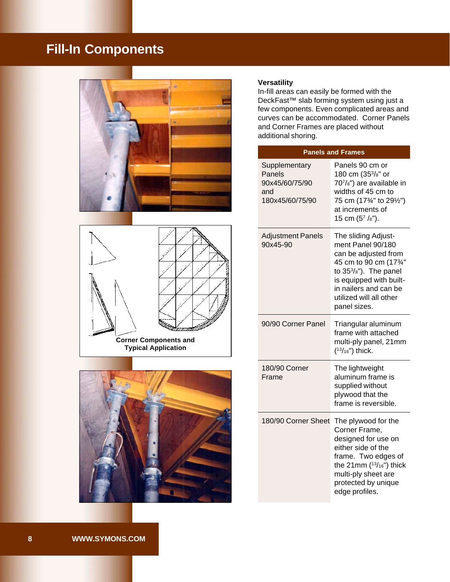# **Fill-In Components**







#### **Versatility**

In-fill areas can easily be formed with the DeckFast™ slab forming system using just a few components. Even complicated areas and curves can be accommodated. Corner Panels and Corner Frames are placed without additional shoring.

| <b>Panels and Frames</b>                                            |                                                                                                                                                                                                                    |
|---------------------------------------------------------------------|--------------------------------------------------------------------------------------------------------------------------------------------------------------------------------------------------------------------|
| Supplementary<br>Panels<br>90x45/60/75/90<br>and<br>180x45/60/75/90 | Panels 90 cm or<br>180 cm (35 <sup>3</sup> /8" or<br>707/8") are available in<br>widths of 45 cm to<br>75 cm (173/4" to 291/2")<br>at increments of<br>15 cm $(5^7 / s")$ .                                        |
| <b>Adjustment Panels</b><br>90x45-90                                | The sliding Adjust-<br>ment Panel 90/180<br>can be adjusted from<br>45 cm to 90 cm (173/4"<br>to 353/8"). The panel<br>is equipped with built-<br>in nailers and can be<br>utilized will all other<br>panel sizes. |
| 90/90 Corner Panel                                                  | Triangular aluminum<br>frame with attached<br>multi-ply panel, 21mm<br>$(^{13}/_{16}")$ thick.                                                                                                                     |
| 180/90 Corner<br>Frame                                              | The lightweight<br>aluminum frame is<br>supplied without<br>plywood that the<br>frame is reversible.                                                                                                               |
| 180/90 Corner Sheet                                                 | The plywood for the<br>Corner Frame,<br>designed for use on<br>either side of the<br>frame. Two edges of<br>the 21mm $(^{13}/_{16})$ thick<br>multi-ply sheet are<br>protected by unique<br>edge profiles.         |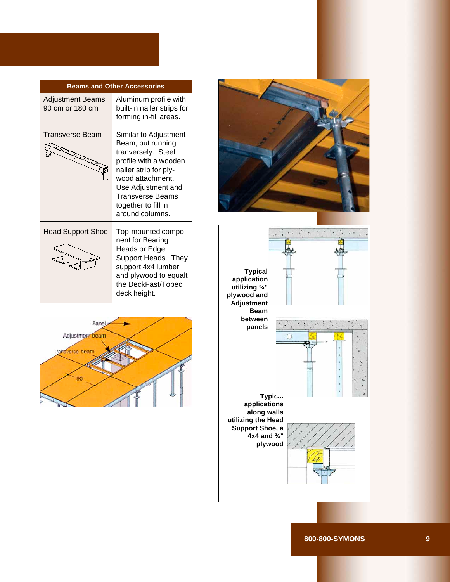#### **Beams and Other Accessories**

Adjustment Beams 90 cm or 180 cm

Aluminum profile with built-in nailer strips for forming in-fill areas.

Transverse Beam



Similar to Adjustment Beam, but running tranversely. Steel profile with a wooden nailer strip for plywood attachment. Use Adjustment and Transverse Beams together to fill in around columns.

#### Head Support Shoe



Top-mounted component for Bearing Heads or Edge Support Heads. They support 4x4 lumber and plywood to equalt the DeckFast/Topec deck height.





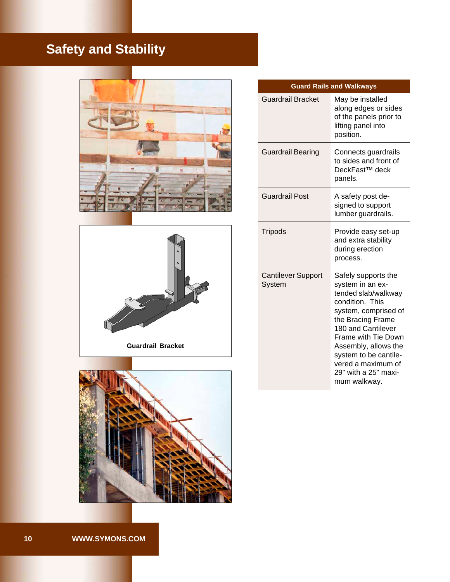# **Safety and Stability**







| <b>Guard Rails and Walkways</b>     |                                                                                                                                                                                                                                                                                                   |  |
|-------------------------------------|---------------------------------------------------------------------------------------------------------------------------------------------------------------------------------------------------------------------------------------------------------------------------------------------------|--|
| <b>Guardrail Bracket</b>            | May be installed<br>along edges or sides<br>of the panels prior to<br>lifting panel into<br>position.                                                                                                                                                                                             |  |
| <b>Guardrail Bearing</b>            | Connects guardrails<br>to sides and front of<br>DeckFast <sup>™</sup> deck<br>panels.                                                                                                                                                                                                             |  |
| <b>Guardrail Post</b>               | A safety post de-<br>signed to support<br>lumber guardrails.                                                                                                                                                                                                                                      |  |
| <b>Tripods</b>                      | Provide easy set-up<br>and extra stability<br>during erection<br>process.                                                                                                                                                                                                                         |  |
| <b>Cantilever Support</b><br>System | Safely supports the<br>system in an ex-<br>tended slab/walkway<br>condition. This<br>system, comprised of<br>the Bracing Frame<br>180 and Cantilever<br><b>Frame with Tie Down</b><br>Assembly, allows the<br>system to be cantile-<br>vered a maximum of<br>29" with a 25" maxi-<br>mum walkway. |  |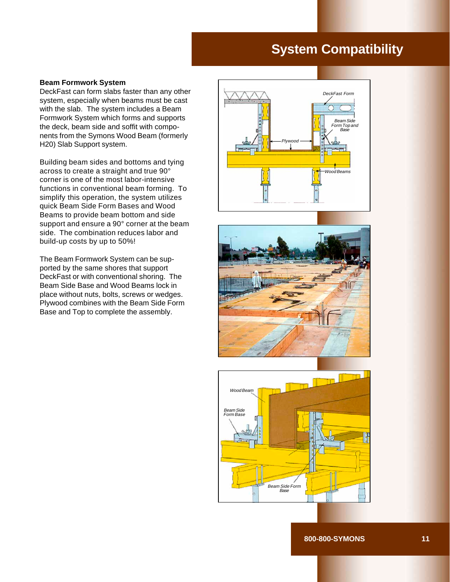## **System Compatibility**

#### **Beam Formwork System**

DeckFast can form slabs faster than any other system, especially when beams must be cast with the slab. The system includes a Beam Formwork System which forms and supports the deck, beam side and soffit with components from the Symons Wood Beam (formerly H20) Slab Support system.

Building beam sides and bottoms and tying across to create a straight and true 90° corner is one of the most labor-intensive functions in conventional beam forming. To simplify this operation, the system utilizes quick Beam Side Form Bases and Wood Beams to provide beam bottom and side support and ensure a 90° corner at the beam side. The combination reduces labor and build-up costs by up to 50%!

The Beam Formwork System can be supported by the same shores that support DeckFast or with conventional shoring. The Beam Side Base and Wood Beams lock in place without nuts, bolts, screws or wedges. Plywood combines with the Beam Side Form Base and Top to complete the assembly.